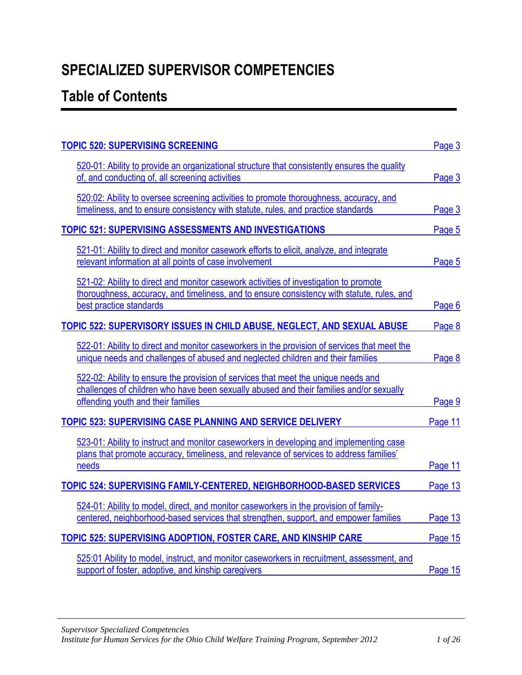# **SPECIALIZED SUPERVISOR COMPETENCIES**

# <span id="page-0-0"></span>**Table of Contents**

| <b>TOPIC 520: SUPERVISING SCREENING</b>                                                      | Page 3  |
|----------------------------------------------------------------------------------------------|---------|
| 520-01: Ability to provide an organizational structure that consistently ensures the quality |         |
| of, and conducting of, all screening activities                                              | Page 3  |
| 520:02: Ability to oversee screening activities to promote thoroughness, accuracy, and       |         |
| timeliness, and to ensure consistency with statute, rules, and practice standards            | Page 3  |
| <b>TOPIC 521: SUPERVISING ASSESSMENTS AND INVESTIGATIONS</b>                                 | Page 5  |
| 521-01: Ability to direct and monitor casework efforts to elicit, analyze, and integrate     |         |
| relevant information at all points of case involvement                                       | Page 5  |
| 521-02: Ability to direct and monitor casework activities of investigation to promote        |         |
| thoroughness, accuracy, and timeliness, and to ensure consistency with statute, rules, and   |         |
| best practice standards                                                                      | Page 6  |
| TOPIC 522: SUPERVISORY ISSUES IN CHILD ABUSE, NEGLECT, AND SEXUAL ABUSE                      | Page 8  |
| 522-01: Ability to direct and monitor caseworkers in the provision of services that meet the |         |
| unique needs and challenges of abused and neglected children and their families              | Page 8  |
| 522-02: Ability to ensure the provision of services that meet the unique needs and           |         |
| challenges of children who have been sexually abused and their families and/or sexually      |         |
| offending youth and their families                                                           | Page 9  |
| <b>TOPIC 523: SUPERVISING CASE PLANNING AND SERVICE DELIVERY</b>                             | Page 11 |
| 523-01: Ability to instruct and monitor caseworkers in developing and implementing case      |         |
| plans that promote accuracy, timeliness, and relevance of services to address families'      |         |
| needs                                                                                        | Page 11 |
| <b>TOPIC 524: SUPERVISING FAMILY-CENTERED, NEIGHBORHOOD-BASED SERVICES</b>                   | Page 13 |
| 524-01: Ability to model, direct, and monitor caseworkers in the provision of family-        |         |
| centered, neighborhood-based services that strengthen, support, and empower families         | Page 13 |
| <b>TOPIC 525: SUPERVISING ADOPTION, FOSTER CARE, AND KINSHIP CARE</b>                        | Page 15 |
| 525:01 Ability to model, instruct, and monitor caseworkers in recruitment, assessment, and   |         |
| support of foster, adoptive, and kinship caregivers                                          | Page 15 |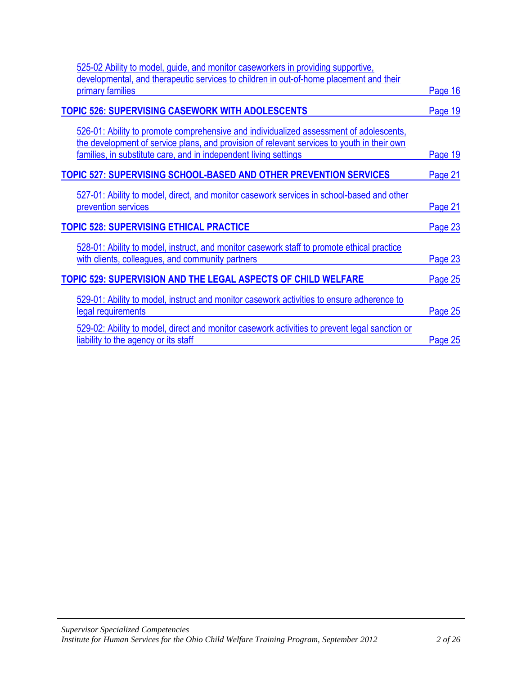| 525-02 Ability to model, guide, and monitor caseworkers in providing supportive,                                                                               |                |
|----------------------------------------------------------------------------------------------------------------------------------------------------------------|----------------|
| developmental, and therapeutic services to children in out-of-home placement and their                                                                         |                |
| primary families                                                                                                                                               | <u>Page 16</u> |
| <b>TOPIC 526: SUPERVISING CASEWORK WITH ADOLESCENTS</b>                                                                                                        | Page 19        |
| 526-01: Ability to promote comprehensive and individualized assessment of adolescents,                                                                         |                |
| the development of service plans, and provision of relevant services to youth in their own<br>families, in substitute care, and in independent living settings | <b>Page 19</b> |
| <b>TOPIC 527: SUPERVISING SCHOOL-BASED AND OTHER PREVENTION SERVICES</b>                                                                                       | Page 21        |
| 527-01: Ability to model, direct, and monitor casework services in school-based and other                                                                      |                |
| prevention services                                                                                                                                            | <b>Page 21</b> |
| <b>TOPIC 528: SUPERVISING ETHICAL PRACTICE</b>                                                                                                                 | Page 23        |
| 528-01: Ability to model, instruct, and monitor casework staff to promote ethical practice<br>with clients, colleagues, and community partners                 | <b>Page 23</b> |
| <b>TOPIC 529: SUPERVISION AND THE LEGAL ASPECTS OF CHILD WELFARE</b>                                                                                           | Page 25        |
| 529-01: Ability to model, instruct and monitor casework activities to ensure adherence to<br>legal requirements                                                | Page 25        |
| 529-02: Ability to model, direct and monitor casework activities to prevent legal sanction or<br>liability to the agency or its staff                          | Page 25        |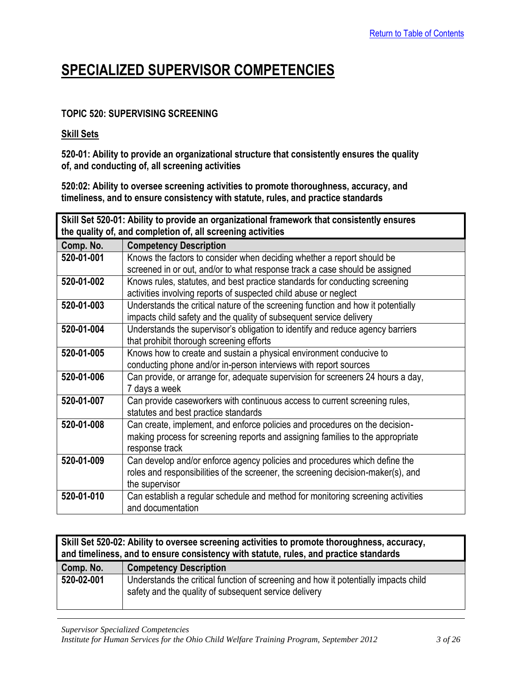## **SPECIALIZED SUPERVISOR COMPETENCIES**

## <span id="page-2-0"></span>**TOPIC 520: SUPERVISING SCREENING**

#### **Skill Sets**

**520-01: Ability to provide an organizational structure that consistently ensures the quality of, and conducting of, all screening activities**

**520:02: Ability to oversee screening activities to promote thoroughness, accuracy, and timeliness, and to ensure consistency with statute, rules, and practice standards**

<span id="page-2-1"></span>

| Skill Set 520-01: Ability to provide an organizational framework that consistently ensures |                                                                                  |
|--------------------------------------------------------------------------------------------|----------------------------------------------------------------------------------|
| the quality of, and completion of, all screening activities                                |                                                                                  |
| Comp. No.                                                                                  | <b>Competency Description</b>                                                    |
| 520-01-001                                                                                 | Knows the factors to consider when deciding whether a report should be           |
|                                                                                            | screened in or out, and/or to what response track a case should be assigned      |
| 520-01-002                                                                                 | Knows rules, statutes, and best practice standards for conducting screening      |
|                                                                                            | activities involving reports of suspected child abuse or neglect                 |
| 520-01-003                                                                                 | Understands the critical nature of the screening function and how it potentially |
|                                                                                            | impacts child safety and the quality of subsequent service delivery              |
| 520-01-004                                                                                 | Understands the supervisor's obligation to identify and reduce agency barriers   |
|                                                                                            | that prohibit thorough screening efforts                                         |
| 520-01-005                                                                                 | Knows how to create and sustain a physical environment conducive to              |
|                                                                                            | conducting phone and/or in-person interviews with report sources                 |
| 520-01-006                                                                                 | Can provide, or arrange for, adequate supervision for screeners 24 hours a day,  |
|                                                                                            | 7 days a week                                                                    |
| 520-01-007                                                                                 | Can provide caseworkers with continuous access to current screening rules,       |
|                                                                                            | statutes and best practice standards                                             |
| 520-01-008                                                                                 | Can create, implement, and enforce policies and procedures on the decision-      |
|                                                                                            | making process for screening reports and assigning families to the appropriate   |
|                                                                                            | response track                                                                   |
| 520-01-009                                                                                 | Can develop and/or enforce agency policies and procedures which define the       |
|                                                                                            | roles and responsibilities of the screener, the screening decision-maker(s), and |
|                                                                                            | the supervisor                                                                   |
| 520-01-010                                                                                 | Can establish a regular schedule and method for monitoring screening activities  |
|                                                                                            | and documentation                                                                |

<span id="page-2-2"></span>

| Skill Set 520-02: Ability to oversee screening activities to promote thoroughness, accuracy,<br>and timeliness, and to ensure consistency with statute, rules, and practice standards |                                                                                                                                              |
|---------------------------------------------------------------------------------------------------------------------------------------------------------------------------------------|----------------------------------------------------------------------------------------------------------------------------------------------|
| Comp. No.                                                                                                                                                                             | <b>Competency Description</b>                                                                                                                |
| 520-02-001                                                                                                                                                                            | Understands the critical function of screening and how it potentially impacts child<br>safety and the quality of subsequent service delivery |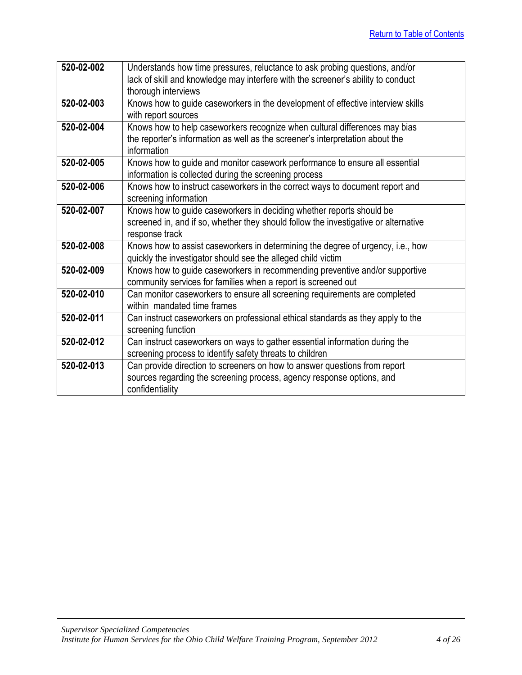| 520-02-002 | Understands how time pressures, reluctance to ask probing questions, and/or         |
|------------|-------------------------------------------------------------------------------------|
|            | lack of skill and knowledge may interfere with the screener's ability to conduct    |
|            | thorough interviews                                                                 |
| 520-02-003 | Knows how to guide caseworkers in the development of effective interview skills     |
|            | with report sources                                                                 |
| 520-02-004 | Knows how to help caseworkers recognize when cultural differences may bias          |
|            | the reporter's information as well as the screener's interpretation about the       |
|            | information                                                                         |
| 520-02-005 | Knows how to guide and monitor casework performance to ensure all essential         |
|            | information is collected during the screening process                               |
| 520-02-006 | Knows how to instruct caseworkers in the correct ways to document report and        |
|            | screening information                                                               |
| 520-02-007 | Knows how to guide caseworkers in deciding whether reports should be                |
|            | screened in, and if so, whether they should follow the investigative or alternative |
|            | response track                                                                      |
| 520-02-008 | Knows how to assist caseworkers in determining the degree of urgency, i.e., how     |
|            | quickly the investigator should see the alleged child victim                        |
| 520-02-009 | Knows how to guide caseworkers in recommending preventive and/or supportive         |
|            | community services for families when a report is screened out                       |
| 520-02-010 | Can monitor caseworkers to ensure all screening requirements are completed          |
|            | within mandated time frames                                                         |
| 520-02-011 | Can instruct caseworkers on professional ethical standards as they apply to the     |
|            | screening function                                                                  |
| 520-02-012 | Can instruct caseworkers on ways to gather essential information during the         |
|            | screening process to identify safety threats to children                            |
| 520-02-013 | Can provide direction to screeners on how to answer questions from report           |
|            | sources regarding the screening process, agency response options, and               |
|            | confidentiality                                                                     |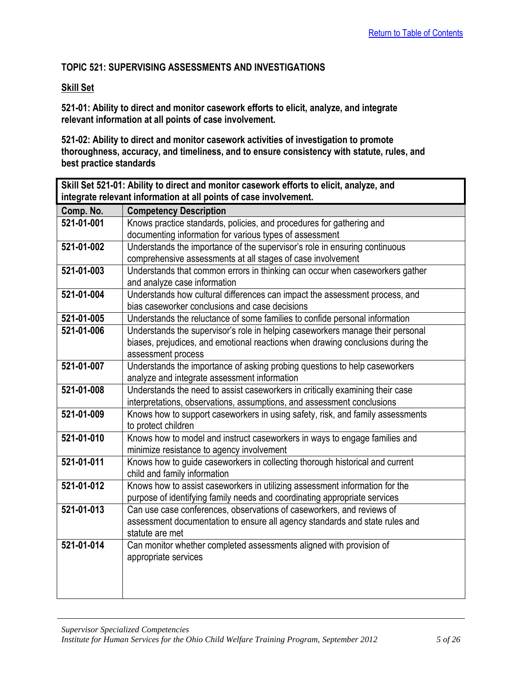## <span id="page-4-0"></span>**TOPIC 521: SUPERVISING ASSESSMENTS AND INVESTIGATIONS**

#### **Skill Set**

**521-01: Ability to direct and monitor casework efforts to elicit, analyze, and integrate relevant information at all points of case involvement.**

**521-02: Ability to direct and monitor casework activities of investigation to promote thoroughness, accuracy, and timeliness, and to ensure consistency with statute, rules, and best practice standards**

<span id="page-4-1"></span>

| Skill Set 521-01: Ability to direct and monitor casework efforts to elicit, analyze, and |                                                                                 |
|------------------------------------------------------------------------------------------|---------------------------------------------------------------------------------|
| integrate relevant information at all points of case involvement.                        |                                                                                 |
| Comp. No.                                                                                | <b>Competency Description</b>                                                   |
| 521-01-001                                                                               | Knows practice standards, policies, and procedures for gathering and            |
|                                                                                          | documenting information for various types of assessment                         |
| 521-01-002                                                                               | Understands the importance of the supervisor's role in ensuring continuous      |
|                                                                                          | comprehensive assessments at all stages of case involvement                     |
| 521-01-003                                                                               | Understands that common errors in thinking can occur when caseworkers gather    |
|                                                                                          | and analyze case information                                                    |
| 521-01-004                                                                               | Understands how cultural differences can impact the assessment process, and     |
|                                                                                          | bias caseworker conclusions and case decisions                                  |
| 521-01-005                                                                               | Understands the reluctance of some families to confide personal information     |
| 521-01-006                                                                               | Understands the supervisor's role in helping caseworkers manage their personal  |
|                                                                                          | biases, prejudices, and emotional reactions when drawing conclusions during the |
|                                                                                          | assessment process                                                              |
| 521-01-007                                                                               | Understands the importance of asking probing questions to help caseworkers      |
|                                                                                          | analyze and integrate assessment information                                    |
| 521-01-008                                                                               | Understands the need to assist caseworkers in critically examining their case   |
|                                                                                          | interpretations, observations, assumptions, and assessment conclusions          |
| 521-01-009                                                                               | Knows how to support caseworkers in using safety, risk, and family assessments  |
|                                                                                          | to protect children                                                             |
| 521-01-010                                                                               | Knows how to model and instruct caseworkers in ways to engage families and      |
|                                                                                          | minimize resistance to agency involvement                                       |
| 521-01-011                                                                               | Knows how to guide caseworkers in collecting thorough historical and current    |
|                                                                                          | child and family information                                                    |
| 521-01-012                                                                               | Knows how to assist caseworkers in utilizing assessment information for the     |
|                                                                                          | purpose of identifying family needs and coordinating appropriate services       |
| 521-01-013                                                                               | Can use case conferences, observations of caseworkers, and reviews of           |
|                                                                                          | assessment documentation to ensure all agency standards and state rules and     |
|                                                                                          | statute are met                                                                 |
| 521-01-014                                                                               | Can monitor whether completed assessments aligned with provision of             |
|                                                                                          | appropriate services                                                            |
|                                                                                          |                                                                                 |
|                                                                                          |                                                                                 |
|                                                                                          |                                                                                 |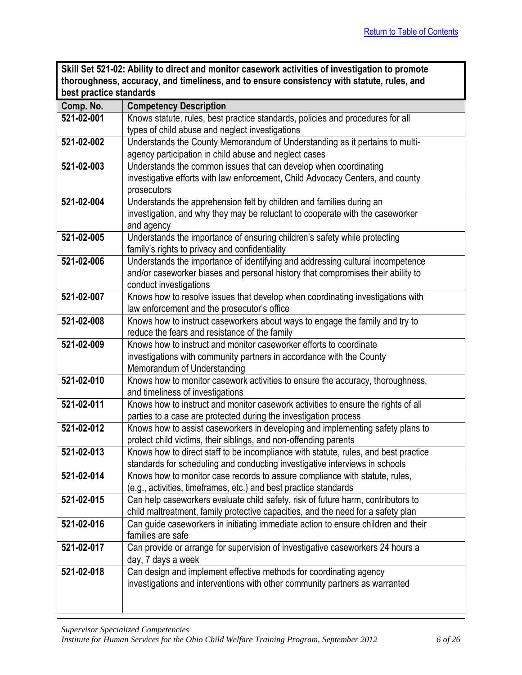<span id="page-5-0"></span>

| Skill Set 521-02: Ability to direct and monitor casework activities of investigation to promote |
|-------------------------------------------------------------------------------------------------|
| thoroughness, accuracy, and timeliness, and to ensure consistency with statute, rules, and      |
| best practice standards                                                                         |

| Comp. No.  | <b>Competency Description</b>                                                                                                                              |
|------------|------------------------------------------------------------------------------------------------------------------------------------------------------------|
| 521-02-001 | Knows statute, rules, best practice standards, policies and procedures for all                                                                             |
|            | types of child abuse and neglect investigations                                                                                                            |
| 521-02-002 | Understands the County Memorandum of Understanding as it pertains to multi-                                                                                |
|            | agency participation in child abuse and neglect cases                                                                                                      |
| 521-02-003 | Understands the common issues that can develop when coordinating                                                                                           |
|            | investigative efforts with law enforcement, Child Advocacy Centers, and county                                                                             |
|            | prosecutors                                                                                                                                                |
| 521-02-004 | Understands the apprehension felt by children and families during an                                                                                       |
|            | investigation, and why they may be reluctant to cooperate with the caseworker                                                                              |
|            | and agency                                                                                                                                                 |
| 521-02-005 | Understands the importance of ensuring children's safety while protecting                                                                                  |
|            | family's rights to privacy and confidentiality                                                                                                             |
| 521-02-006 | Understands the importance of identifying and addressing cultural incompetence                                                                             |
|            | and/or caseworker biases and personal history that compromises their ability to                                                                            |
|            | conduct investigations                                                                                                                                     |
| 521-02-007 | Knows how to resolve issues that develop when coordinating investigations with                                                                             |
|            | law enforcement and the prosecutor's office                                                                                                                |
| 521-02-008 | Knows how to instruct caseworkers about ways to engage the family and try to                                                                               |
|            | reduce the fears and resistance of the family                                                                                                              |
| 521-02-009 | Knows how to instruct and monitor caseworker efforts to coordinate                                                                                         |
|            | investigations with community partners in accordance with the County                                                                                       |
|            | Memorandum of Understanding                                                                                                                                |
| 521-02-010 | Knows how to monitor casework activities to ensure the accuracy, thoroughness,                                                                             |
|            | and timeliness of investigations                                                                                                                           |
| 521-02-011 | Knows how to instruct and monitor casework activities to ensure the rights of all                                                                          |
|            | parties to a case are protected during the investigation process                                                                                           |
| 521-02-012 | Knows how to assist caseworkers in developing and implementing safety plans to                                                                             |
|            | protect child victims, their siblings, and non-offending parents                                                                                           |
| 521-02-013 | Knows how to direct staff to be incompliance with statute, rules, and best practice                                                                        |
| 521-02-014 | standards for scheduling and conducting investigative interviews in schools<br>Knows how to monitor case records to assure compliance with statute, rules, |
|            | (e.g., activities, timeframes, etc.) and best practice standards                                                                                           |
| 521-02-015 | Can help caseworkers evaluate child safety, risk of future harm, contributors to                                                                           |
|            | child maltreatment, family protective capacities, and the need for a safety plan                                                                           |
| 521-02-016 | Can guide caseworkers in initiating immediate action to ensure children and their                                                                          |
|            | families are safe                                                                                                                                          |
| 521-02-017 | Can provide or arrange for supervision of investigative caseworkers 24 hours a                                                                             |
|            | day, 7 days a week                                                                                                                                         |
| 521-02-018 | Can design and implement effective methods for coordinating agency                                                                                         |
|            | investigations and interventions with other community partners as warranted                                                                                |
|            |                                                                                                                                                            |
|            |                                                                                                                                                            |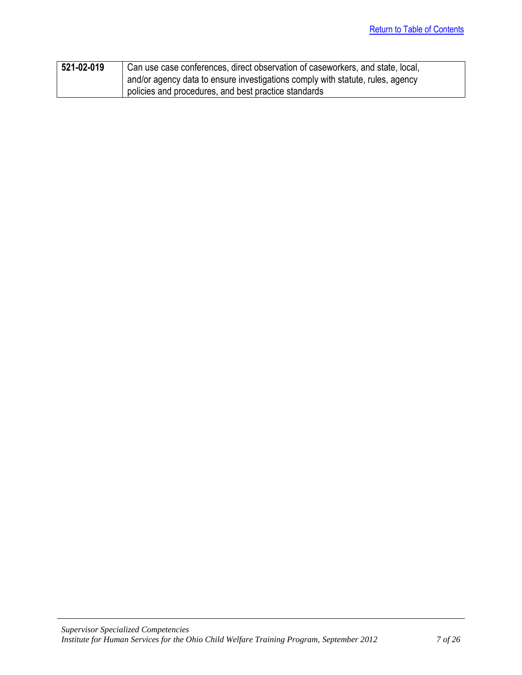| $1521 - 02 - 019$ | Can use case conferences, direct observation of caseworkers, and state, local, |
|-------------------|--------------------------------------------------------------------------------|
|                   | and/or agency data to ensure investigations comply with statute, rules, agency |
|                   | policies and procedures, and best practice standards                           |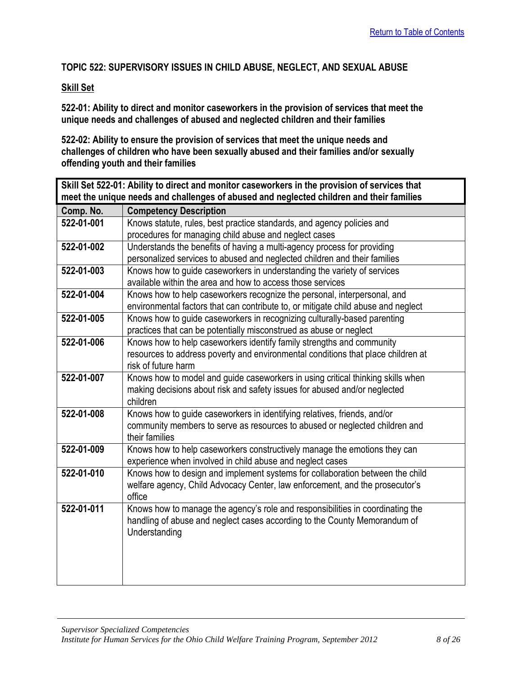## <span id="page-7-0"></span>**TOPIC 522: SUPERVISORY ISSUES IN CHILD ABUSE, NEGLECT, AND SEXUAL ABUSE**

## **Skill Set**

**522-01: Ability to direct and monitor caseworkers in the provision of services that meet the unique needs and challenges of abused and neglected children and their families** 

**522-02: Ability to ensure the provision of services that meet the unique needs and challenges of children who have been sexually abused and their families and/or sexually offending youth and their families**

<span id="page-7-1"></span>

| Skill Set 522-01: Ability to direct and monitor caseworkers in the provision of services that |                                                                                                                                        |
|-----------------------------------------------------------------------------------------------|----------------------------------------------------------------------------------------------------------------------------------------|
| meet the unique needs and challenges of abused and neglected children and their families      |                                                                                                                                        |
| Comp. No.                                                                                     | <b>Competency Description</b>                                                                                                          |
| 522-01-001                                                                                    | Knows statute, rules, best practice standards, and agency policies and                                                                 |
|                                                                                               | procedures for managing child abuse and neglect cases                                                                                  |
| 522-01-002                                                                                    | Understands the benefits of having a multi-agency process for providing                                                                |
|                                                                                               | personalized services to abused and neglected children and their families                                                              |
| 522-01-003                                                                                    | Knows how to guide caseworkers in understanding the variety of services                                                                |
|                                                                                               | available within the area and how to access those services                                                                             |
| 522-01-004                                                                                    | Knows how to help caseworkers recognize the personal, interpersonal, and                                                               |
|                                                                                               | environmental factors that can contribute to, or mitigate child abuse and neglect                                                      |
| 522-01-005                                                                                    | Knows how to guide caseworkers in recognizing culturally-based parenting                                                               |
|                                                                                               | practices that can be potentially misconstrued as abuse or neglect                                                                     |
| 522-01-006                                                                                    | Knows how to help caseworkers identify family strengths and community                                                                  |
|                                                                                               | resources to address poverty and environmental conditions that place children at                                                       |
|                                                                                               | risk of future harm                                                                                                                    |
| 522-01-007                                                                                    | Knows how to model and guide caseworkers in using critical thinking skills when                                                        |
|                                                                                               | making decisions about risk and safety issues for abused and/or neglected                                                              |
|                                                                                               | children                                                                                                                               |
| 522-01-008                                                                                    | Knows how to guide caseworkers in identifying relatives, friends, and/or                                                               |
|                                                                                               | community members to serve as resources to abused or neglected children and<br>their families                                          |
| 522-01-009                                                                                    |                                                                                                                                        |
|                                                                                               | Knows how to help caseworkers constructively manage the emotions they can<br>experience when involved in child abuse and neglect cases |
| 522-01-010                                                                                    | Knows how to design and implement systems for collaboration between the child                                                          |
|                                                                                               | welfare agency, Child Advocacy Center, law enforcement, and the prosecutor's                                                           |
|                                                                                               | office                                                                                                                                 |
| 522-01-011                                                                                    | Knows how to manage the agency's role and responsibilities in coordinating the                                                         |
|                                                                                               | handling of abuse and neglect cases according to the County Memorandum of                                                              |
|                                                                                               | Understanding                                                                                                                          |
|                                                                                               |                                                                                                                                        |
|                                                                                               |                                                                                                                                        |
|                                                                                               |                                                                                                                                        |
|                                                                                               |                                                                                                                                        |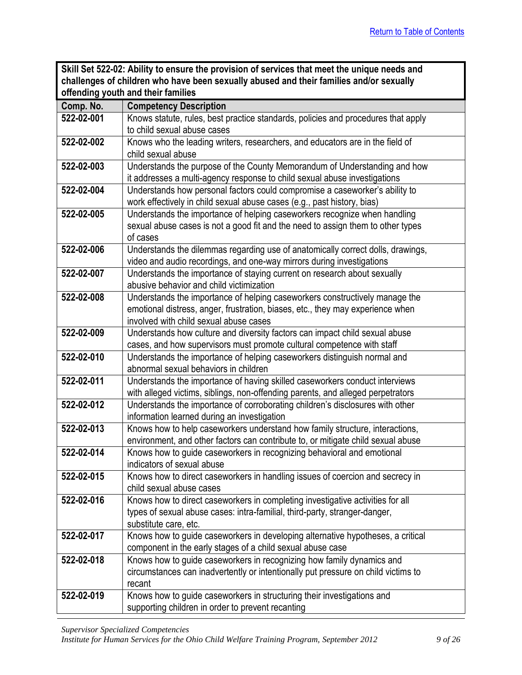<span id="page-8-0"></span>

| Skill Set 522-02: Ability to ensure the provision of services that meet the unique needs and |
|----------------------------------------------------------------------------------------------|
| challenges of children who have been sexually abused and their families and/or sexually      |
| offending youth and their families                                                           |

| Comp. No.  | <b>Competency Description</b>                                                     |
|------------|-----------------------------------------------------------------------------------|
| 522-02-001 | Knows statute, rules, best practice standards, policies and procedures that apply |
|            | to child sexual abuse cases                                                       |
| 522-02-002 | Knows who the leading writers, researchers, and educators are in the field of     |
|            | child sexual abuse                                                                |
| 522-02-003 | Understands the purpose of the County Memorandum of Understanding and how         |
|            | it addresses a multi-agency response to child sexual abuse investigations         |
| 522-02-004 | Understands how personal factors could compromise a caseworker's ability to       |
|            | work effectively in child sexual abuse cases (e.g., past history, bias)           |
| 522-02-005 | Understands the importance of helping caseworkers recognize when handling         |
|            | sexual abuse cases is not a good fit and the need to assign them to other types   |
|            | of cases                                                                          |
| 522-02-006 | Understands the dilemmas regarding use of anatomically correct dolls, drawings,   |
|            | video and audio recordings, and one-way mirrors during investigations             |
| 522-02-007 | Understands the importance of staying current on research about sexually          |
|            | abusive behavior and child victimization                                          |
| 522-02-008 | Understands the importance of helping caseworkers constructively manage the       |
|            | emotional distress, anger, frustration, biases, etc., they may experience when    |
|            | involved with child sexual abuse cases                                            |
| 522-02-009 | Understands how culture and diversity factors can impact child sexual abuse       |
|            | cases, and how supervisors must promote cultural competence with staff            |
| 522-02-010 | Understands the importance of helping caseworkers distinguish normal and          |
|            | abnormal sexual behaviors in children                                             |
| 522-02-011 | Understands the importance of having skilled caseworkers conduct interviews       |
|            | with alleged victims, siblings, non-offending parents, and alleged perpetrators   |
| 522-02-012 | Understands the importance of corroborating children's disclosures with other     |
|            | information learned during an investigation                                       |
| 522-02-013 | Knows how to help caseworkers understand how family structure, interactions,      |
|            | environment, and other factors can contribute to, or mitigate child sexual abuse  |
| 522-02-014 | Knows how to guide caseworkers in recognizing behavioral and emotional            |
|            | indicators of sexual abuse                                                        |
| 522-02-015 | Knows how to direct caseworkers in handling issues of coercion and secrecy in     |
|            | child sexual abuse cases                                                          |
| 522-02-016 | Knows how to direct caseworkers in completing investigative activities for all    |
|            | types of sexual abuse cases: intra-familial, third-party, stranger-danger,        |
|            | substitute care, etc.                                                             |
| 522-02-017 | Knows how to guide caseworkers in developing alternative hypotheses, a critical   |
|            | component in the early stages of a child sexual abuse case                        |
| 522-02-018 | Knows how to guide caseworkers in recognizing how family dynamics and             |
|            | circumstances can inadvertently or intentionally put pressure on child victims to |
|            | recant                                                                            |
| 522-02-019 | Knows how to guide caseworkers in structuring their investigations and            |
|            | supporting children in order to prevent recanting                                 |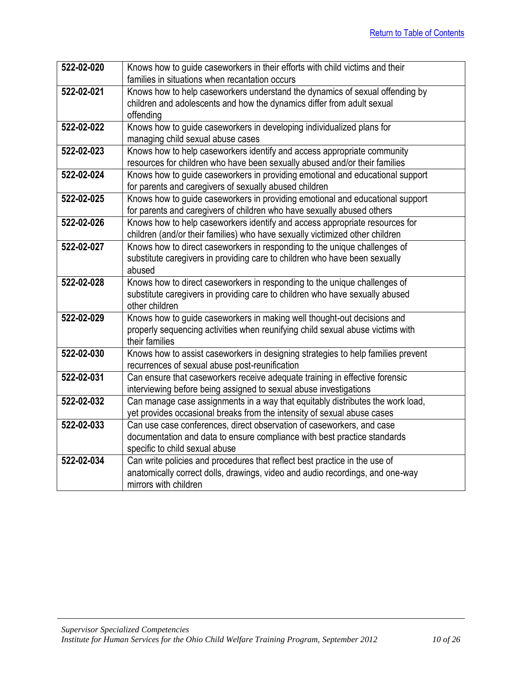| 522-02-020 | Knows how to guide caseworkers in their efforts with child victims and their                                                                     |
|------------|--------------------------------------------------------------------------------------------------------------------------------------------------|
|            | families in situations when recantation occurs                                                                                                   |
| 522-02-021 | Knows how to help caseworkers understand the dynamics of sexual offending by                                                                     |
|            | children and adolescents and how the dynamics differ from adult sexual                                                                           |
|            | offending                                                                                                                                        |
| 522-02-022 | Knows how to guide caseworkers in developing individualized plans for                                                                            |
|            | managing child sexual abuse cases                                                                                                                |
| 522-02-023 | Knows how to help caseworkers identify and access appropriate community                                                                          |
|            | resources for children who have been sexually abused and/or their families                                                                       |
| 522-02-024 | Knows how to guide caseworkers in providing emotional and educational support                                                                    |
|            | for parents and caregivers of sexually abused children                                                                                           |
| 522-02-025 | Knows how to guide caseworkers in providing emotional and educational support                                                                    |
|            | for parents and caregivers of children who have sexually abused others                                                                           |
| 522-02-026 | Knows how to help caseworkers identify and access appropriate resources for                                                                      |
|            | children (and/or their families) who have sexually victimized other children                                                                     |
| 522-02-027 | Knows how to direct caseworkers in responding to the unique challenges of                                                                        |
|            | substitute caregivers in providing care to children who have been sexually                                                                       |
|            | abused                                                                                                                                           |
| 522-02-028 | Knows how to direct caseworkers in responding to the unique challenges of                                                                        |
|            | substitute caregivers in providing care to children who have sexually abused                                                                     |
|            | other children                                                                                                                                   |
| 522-02-029 | Knows how to guide caseworkers in making well thought-out decisions and                                                                          |
|            | properly sequencing activities when reunifying child sexual abuse victims with                                                                   |
|            | their families                                                                                                                                   |
| 522-02-030 | Knows how to assist caseworkers in designing strategies to help families prevent                                                                 |
|            | recurrences of sexual abuse post-reunification                                                                                                   |
| 522-02-031 | Can ensure that caseworkers receive adequate training in effective forensic                                                                      |
|            | interviewing before being assigned to sexual abuse investigations                                                                                |
| 522-02-032 | Can manage case assignments in a way that equitably distributes the work load,                                                                   |
| 522-02-033 | yet provides occasional breaks from the intensity of sexual abuse cases<br>Can use case conferences, direct observation of caseworkers, and case |
|            | documentation and data to ensure compliance with best practice standards                                                                         |
|            | specific to child sexual abuse                                                                                                                   |
| 522-02-034 | Can write policies and procedures that reflect best practice in the use of                                                                       |
|            | anatomically correct dolls, drawings, video and audio recordings, and one-way                                                                    |
|            |                                                                                                                                                  |
|            | mirrors with children                                                                                                                            |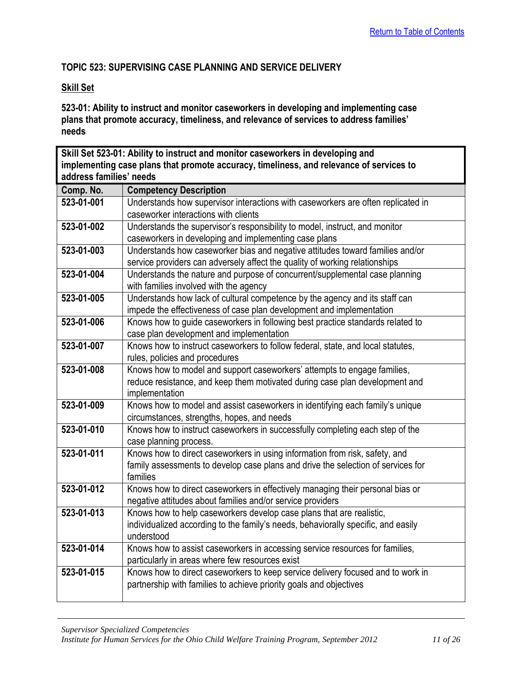## <span id="page-10-0"></span>**TOPIC 523: SUPERVISING CASE PLANNING AND SERVICE DELIVERY**

## **Skill Set**

**523-01: Ability to instruct and monitor caseworkers in developing and implementing case plans that promote accuracy, timeliness, and relevance of services to address families' needs**

<span id="page-10-1"></span>

| Skill Set 523-01: Ability to instruct and monitor caseworkers in developing and         |                                                                                   |
|-----------------------------------------------------------------------------------------|-----------------------------------------------------------------------------------|
| implementing case plans that promote accuracy, timeliness, and relevance of services to |                                                                                   |
| address families' needs                                                                 |                                                                                   |
| Comp. No.                                                                               | <b>Competency Description</b>                                                     |
| 523-01-001                                                                              | Understands how supervisor interactions with caseworkers are often replicated in  |
|                                                                                         | caseworker interactions with clients                                              |
| 523-01-002                                                                              | Understands the supervisor's responsibility to model, instruct, and monitor       |
|                                                                                         | caseworkers in developing and implementing case plans                             |
| 523-01-003                                                                              | Understands how caseworker bias and negative attitudes toward families and/or     |
|                                                                                         | service providers can adversely affect the quality of working relationships       |
| 523-01-004                                                                              | Understands the nature and purpose of concurrent/supplemental case planning       |
|                                                                                         | with families involved with the agency                                            |
| 523-01-005                                                                              | Understands how lack of cultural competence by the agency and its staff can       |
|                                                                                         | impede the effectiveness of case plan development and implementation              |
| 523-01-006                                                                              | Knows how to guide caseworkers in following best practice standards related to    |
|                                                                                         | case plan development and implementation                                          |
| 523-01-007                                                                              | Knows how to instruct caseworkers to follow federal, state, and local statutes,   |
|                                                                                         | rules, policies and procedures                                                    |
| 523-01-008                                                                              | Knows how to model and support caseworkers' attempts to engage families,          |
|                                                                                         | reduce resistance, and keep them motivated during case plan development and       |
|                                                                                         | implementation                                                                    |
| 523-01-009                                                                              | Knows how to model and assist caseworkers in identifying each family's unique     |
|                                                                                         | circumstances, strengths, hopes, and needs                                        |
| 523-01-010                                                                              | Knows how to instruct caseworkers in successfully completing each step of the     |
|                                                                                         | case planning process.                                                            |
| 523-01-011                                                                              | Knows how to direct caseworkers in using information from risk, safety, and       |
|                                                                                         | family assessments to develop case plans and drive the selection of services for  |
|                                                                                         | families                                                                          |
| 523-01-012                                                                              | Knows how to direct caseworkers in effectively managing their personal bias or    |
|                                                                                         | negative attitudes about families and/or service providers                        |
| 523-01-013                                                                              | Knows how to help caseworkers develop case plans that are realistic,              |
|                                                                                         | individualized according to the family's needs, behaviorally specific, and easily |
| 523-01-014                                                                              | understood                                                                        |
|                                                                                         | Knows how to assist caseworkers in accessing service resources for families,      |
|                                                                                         | particularly in areas where few resources exist                                   |
| 523-01-015                                                                              | Knows how to direct caseworkers to keep service delivery focused and to work in   |
|                                                                                         | partnership with families to achieve priority goals and objectives                |
|                                                                                         |                                                                                   |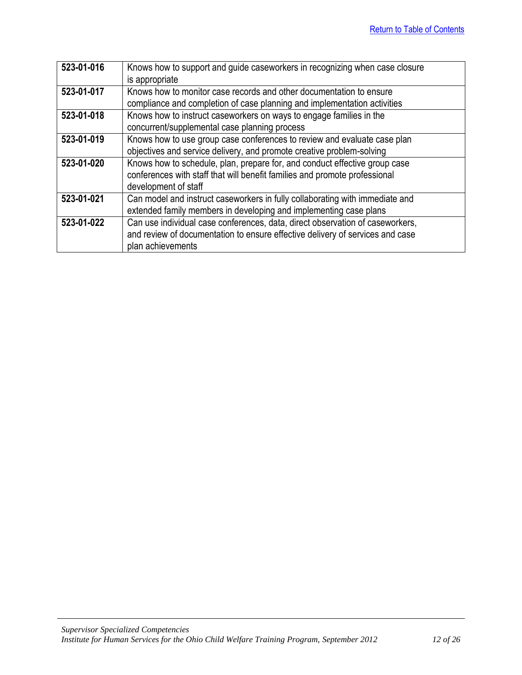| 523-01-016 | Knows how to support and guide caseworkers in recognizing when case closure   |
|------------|-------------------------------------------------------------------------------|
|            | is appropriate                                                                |
| 523-01-017 | Knows how to monitor case records and other documentation to ensure           |
|            | compliance and completion of case planning and implementation activities      |
| 523-01-018 | Knows how to instruct caseworkers on ways to engage families in the           |
|            | concurrent/supplemental case planning process                                 |
| 523-01-019 | Knows how to use group case conferences to review and evaluate case plan      |
|            | objectives and service delivery, and promote creative problem-solving         |
| 523-01-020 | Knows how to schedule, plan, prepare for, and conduct effective group case    |
|            | conferences with staff that will benefit families and promote professional    |
|            | development of staff                                                          |
| 523-01-021 | Can model and instruct caseworkers in fully collaborating with immediate and  |
|            | extended family members in developing and implementing case plans             |
| 523-01-022 | Can use individual case conferences, data, direct observation of caseworkers, |
|            | and review of documentation to ensure effective delivery of services and case |
|            | plan achievements                                                             |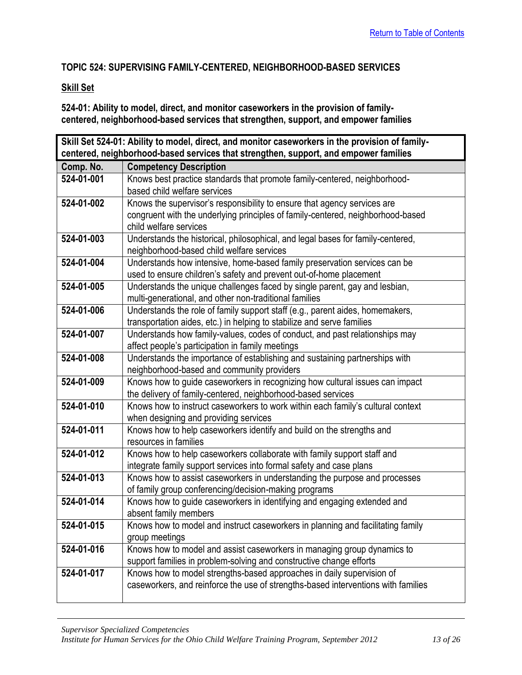## <span id="page-12-0"></span>**TOPIC 524: SUPERVISING FAMILY-CENTERED, NEIGHBORHOOD-BASED SERVICES**

## **Skill Set**

**524-01: Ability to model, direct, and monitor caseworkers in the provision of familycentered, neighborhood-based services that strengthen, support, and empower families** 

<span id="page-12-1"></span>

| Skill Set 524-01: Ability to model, direct, and monitor caseworkers in the provision of family- |                                                                                                |
|-------------------------------------------------------------------------------------------------|------------------------------------------------------------------------------------------------|
| centered, neighborhood-based services that strengthen, support, and empower families            |                                                                                                |
| Comp. No.                                                                                       | <b>Competency Description</b>                                                                  |
| 524-01-001                                                                                      | Knows best practice standards that promote family-centered, neighborhood-                      |
|                                                                                                 | based child welfare services                                                                   |
| 524-01-002                                                                                      | Knows the supervisor's responsibility to ensure that agency services are                       |
|                                                                                                 | congruent with the underlying principles of family-centered, neighborhood-based                |
|                                                                                                 | child welfare services                                                                         |
| 524-01-003                                                                                      | Understands the historical, philosophical, and legal bases for family-centered,                |
|                                                                                                 | neighborhood-based child welfare services                                                      |
| 524-01-004                                                                                      | Understands how intensive, home-based family preservation services can be                      |
|                                                                                                 | used to ensure children's safety and prevent out-of-home placement                             |
| 524-01-005                                                                                      | Understands the unique challenges faced by single parent, gay and lesbian,                     |
|                                                                                                 | multi-generational, and other non-traditional families                                         |
| 524-01-006                                                                                      | Understands the role of family support staff (e.g., parent aides, homemakers,                  |
|                                                                                                 | transportation aides, etc.) in helping to stabilize and serve families                         |
| 524-01-007                                                                                      | Understands how family-values, codes of conduct, and past relationships may                    |
|                                                                                                 | affect people's participation in family meetings                                               |
| 524-01-008                                                                                      | Understands the importance of establishing and sustaining partnerships with                    |
|                                                                                                 | neighborhood-based and community providers                                                     |
| 524-01-009                                                                                      | Knows how to guide caseworkers in recognizing how cultural issues can impact                   |
| 524-01-010                                                                                      | the delivery of family-centered, neighborhood-based services                                   |
|                                                                                                 | Knows how to instruct caseworkers to work within each family's cultural context                |
| 524-01-011                                                                                      | when designing and providing services                                                          |
|                                                                                                 | Knows how to help caseworkers identify and build on the strengths and<br>resources in families |
| 524-01-012                                                                                      | Knows how to help caseworkers collaborate with family support staff and                        |
|                                                                                                 | integrate family support services into formal safety and case plans                            |
| 524-01-013                                                                                      | Knows how to assist caseworkers in understanding the purpose and processes                     |
|                                                                                                 | of family group conferencing/decision-making programs                                          |
| 524-01-014                                                                                      | Knows how to guide caseworkers in identifying and engaging extended and                        |
|                                                                                                 | absent family members                                                                          |
| 524-01-015                                                                                      | Knows how to model and instruct caseworkers in planning and facilitating family                |
|                                                                                                 | group meetings                                                                                 |
| 524-01-016                                                                                      | Knows how to model and assist caseworkers in managing group dynamics to                        |
|                                                                                                 | support families in problem-solving and constructive change efforts                            |
| 524-01-017                                                                                      | Knows how to model strengths-based approaches in daily supervision of                          |
|                                                                                                 | caseworkers, and reinforce the use of strengths-based interventions with families              |
|                                                                                                 |                                                                                                |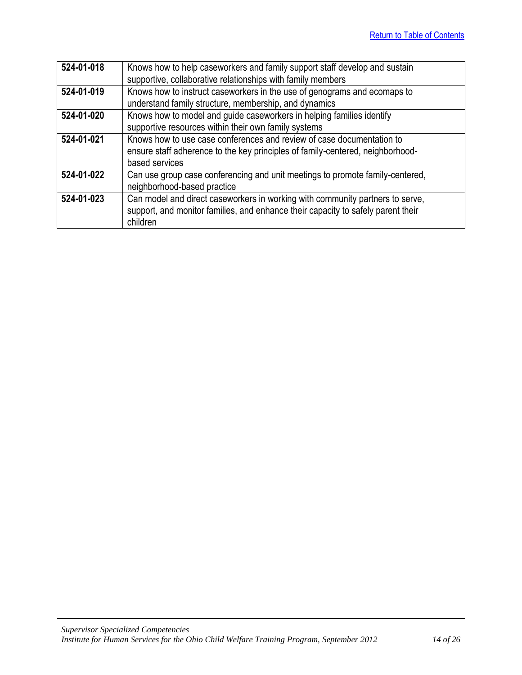| 524-01-018 | Knows how to help caseworkers and family support staff develop and sustain       |
|------------|----------------------------------------------------------------------------------|
|            | supportive, collaborative relationships with family members                      |
| 524-01-019 | Knows how to instruct caseworkers in the use of genograms and ecomaps to         |
|            | understand family structure, membership, and dynamics                            |
| 524-01-020 | Knows how to model and guide caseworkers in helping families identify            |
|            | supportive resources within their own family systems                             |
| 524-01-021 | Knows how to use case conferences and review of case documentation to            |
|            | ensure staff adherence to the key principles of family-centered, neighborhood-   |
|            | based services                                                                   |
| 524-01-022 | Can use group case conferencing and unit meetings to promote family-centered,    |
|            | neighborhood-based practice                                                      |
| 524-01-023 | Can model and direct caseworkers in working with community partners to serve,    |
|            | support, and monitor families, and enhance their capacity to safely parent their |
|            | children                                                                         |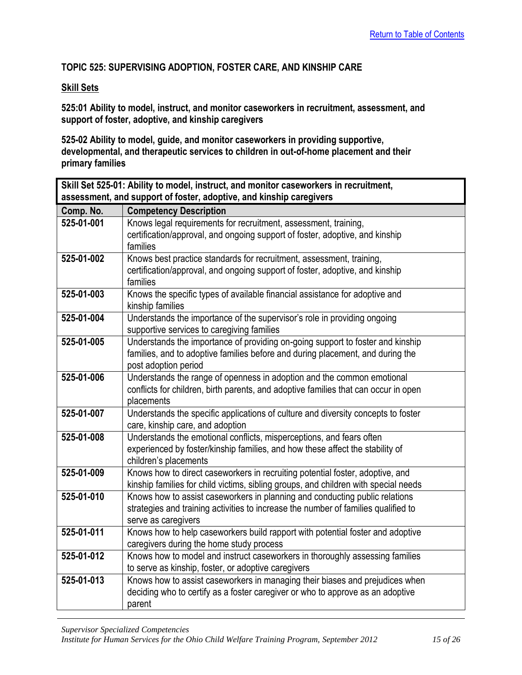## <span id="page-14-0"></span>**TOPIC 525: SUPERVISING ADOPTION, FOSTER CARE, AND KINSHIP CARE**

## **Skill Sets**

**525:01 Ability to model, instruct, and monitor caseworkers in recruitment, assessment, and support of foster, adoptive, and kinship caregivers** 

**525-02 Ability to model, guide, and monitor caseworkers in providing supportive, developmental, and therapeutic services to children in out-of-home placement and their primary families**

<span id="page-14-1"></span>

| Skill Set 525-01: Ability to model, instruct, and monitor caseworkers in recruitment, |                                                                                                   |  |
|---------------------------------------------------------------------------------------|---------------------------------------------------------------------------------------------------|--|
|                                                                                       | assessment, and support of foster, adoptive, and kinship caregivers                               |  |
| Comp. No.                                                                             | <b>Competency Description</b>                                                                     |  |
| 525-01-001                                                                            | Knows legal requirements for recruitment, assessment, training,                                   |  |
|                                                                                       | certification/approval, and ongoing support of foster, adoptive, and kinship                      |  |
|                                                                                       | families                                                                                          |  |
| 525-01-002                                                                            | Knows best practice standards for recruitment, assessment, training,                              |  |
|                                                                                       | certification/approval, and ongoing support of foster, adoptive, and kinship                      |  |
|                                                                                       | families                                                                                          |  |
| 525-01-003                                                                            | Knows the specific types of available financial assistance for adoptive and                       |  |
|                                                                                       | kinship families                                                                                  |  |
| 525-01-004                                                                            | Understands the importance of the supervisor's role in providing ongoing                          |  |
|                                                                                       | supportive services to caregiving families                                                        |  |
| 525-01-005                                                                            | Understands the importance of providing on-going support to foster and kinship                    |  |
|                                                                                       | families, and to adoptive families before and during placement, and during the                    |  |
|                                                                                       | post adoption period                                                                              |  |
| 525-01-006                                                                            | Understands the range of openness in adoption and the common emotional                            |  |
|                                                                                       | conflicts for children, birth parents, and adoptive families that can occur in open<br>placements |  |
| 525-01-007                                                                            | Understands the specific applications of culture and diversity concepts to foster                 |  |
|                                                                                       | care, kinship care, and adoption                                                                  |  |
| 525-01-008                                                                            | Understands the emotional conflicts, misperceptions, and fears often                              |  |
|                                                                                       | experienced by foster/kinship families, and how these affect the stability of                     |  |
|                                                                                       | children's placements                                                                             |  |
| 525-01-009                                                                            | Knows how to direct caseworkers in recruiting potential foster, adoptive, and                     |  |
|                                                                                       | kinship families for child victims, sibling groups, and children with special needs               |  |
| 525-01-010                                                                            | Knows how to assist caseworkers in planning and conducting public relations                       |  |
|                                                                                       | strategies and training activities to increase the number of families qualified to                |  |
|                                                                                       | serve as caregivers                                                                               |  |
| 525-01-011                                                                            | Knows how to help caseworkers build rapport with potential foster and adoptive                    |  |
|                                                                                       | caregivers during the home study process                                                          |  |
| 525-01-012                                                                            | Knows how to model and instruct caseworkers in thoroughly assessing families                      |  |
|                                                                                       | to serve as kinship, foster, or adoptive caregivers                                               |  |
| 525-01-013                                                                            | Knows how to assist caseworkers in managing their biases and prejudices when                      |  |
|                                                                                       | deciding who to certify as a foster caregiver or who to approve as an adoptive                    |  |
|                                                                                       | parent                                                                                            |  |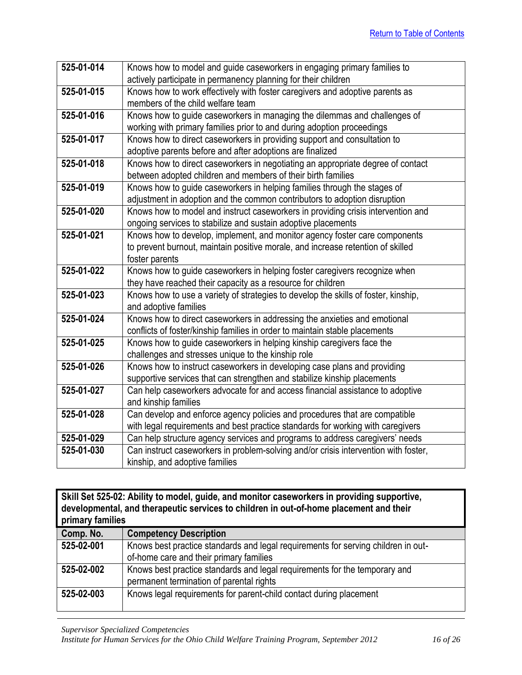| 525-01-014 | Knows how to model and guide caseworkers in engaging primary families to            |
|------------|-------------------------------------------------------------------------------------|
|            | actively participate in permanency planning for their children                      |
| 525-01-015 | Knows how to work effectively with foster caregivers and adoptive parents as        |
|            | members of the child welfare team                                                   |
| 525-01-016 | Knows how to guide caseworkers in managing the dilemmas and challenges of           |
|            | working with primary families prior to and during adoption proceedings              |
| 525-01-017 | Knows how to direct caseworkers in providing support and consultation to            |
|            | adoptive parents before and after adoptions are finalized                           |
| 525-01-018 | Knows how to direct caseworkers in negotiating an appropriate degree of contact     |
|            | between adopted children and members of their birth families                        |
| 525-01-019 | Knows how to guide caseworkers in helping families through the stages of            |
|            | adjustment in adoption and the common contributors to adoption disruption           |
| 525-01-020 | Knows how to model and instruct caseworkers in providing crisis intervention and    |
|            | ongoing services to stabilize and sustain adoptive placements                       |
| 525-01-021 | Knows how to develop, implement, and monitor agency foster care components          |
|            | to prevent burnout, maintain positive morale, and increase retention of skilled     |
|            | foster parents                                                                      |
| 525-01-022 | Knows how to guide caseworkers in helping foster caregivers recognize when          |
|            | they have reached their capacity as a resource for children                         |
| 525-01-023 | Knows how to use a variety of strategies to develop the skills of foster, kinship,  |
|            | and adoptive families                                                               |
| 525-01-024 | Knows how to direct caseworkers in addressing the anxieties and emotional           |
|            | conflicts of foster/kinship families in order to maintain stable placements         |
| 525-01-025 | Knows how to guide caseworkers in helping kinship caregivers face the               |
|            | challenges and stresses unique to the kinship role                                  |
| 525-01-026 | Knows how to instruct caseworkers in developing case plans and providing            |
|            | supportive services that can strengthen and stabilize kinship placements            |
| 525-01-027 | Can help caseworkers advocate for and access financial assistance to adoptive       |
|            | and kinship families                                                                |
| 525-01-028 | Can develop and enforce agency policies and procedures that are compatible          |
|            | with legal requirements and best practice standards for working with caregivers     |
| 525-01-029 | Can help structure agency services and programs to address caregivers' needs        |
| 525-01-030 | Can instruct caseworkers in problem-solving and/or crisis intervention with foster, |
|            | kinship, and adoptive families                                                      |

<span id="page-15-0"></span>

| Skill Set 525-02: Ability to model, guide, and monitor caseworkers in providing supportive,<br>developmental, and therapeutic services to children in out-of-home placement and their<br>primary families |                                                                                                                              |
|-----------------------------------------------------------------------------------------------------------------------------------------------------------------------------------------------------------|------------------------------------------------------------------------------------------------------------------------------|
| Comp. No.                                                                                                                                                                                                 | <b>Competency Description</b>                                                                                                |
| 525-02-001                                                                                                                                                                                                | Knows best practice standards and legal requirements for serving children in out-<br>of-home care and their primary families |
| 525-02-002                                                                                                                                                                                                | Knows best practice standards and legal requirements for the temporary and<br>permanent termination of parental rights       |
| 525-02-003                                                                                                                                                                                                | Knows legal requirements for parent-child contact during placement                                                           |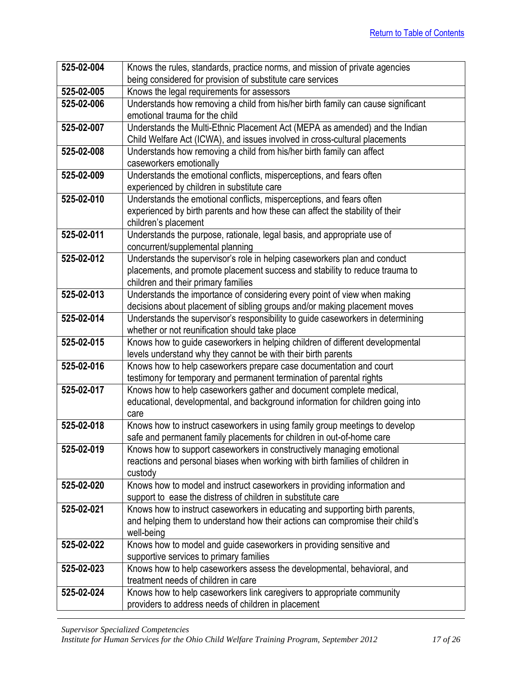| 525-02-004 | Knows the rules, standards, practice norms, and mission of private agencies            |
|------------|----------------------------------------------------------------------------------------|
|            | being considered for provision of substitute care services                             |
| 525-02-005 | Knows the legal requirements for assessors                                             |
| 525-02-006 | Understands how removing a child from his/her birth family can cause significant       |
|            | emotional trauma for the child                                                         |
| 525-02-007 | Understands the Multi-Ethnic Placement Act (MEPA as amended) and the Indian            |
|            | Child Welfare Act (ICWA), and issues involved in cross-cultural placements             |
| 525-02-008 | Understands how removing a child from his/her birth family can affect                  |
|            | caseworkers emotionally                                                                |
| 525-02-009 | Understands the emotional conflicts, misperceptions, and fears often                   |
|            | experienced by children in substitute care                                             |
| 525-02-010 | Understands the emotional conflicts, misperceptions, and fears often                   |
|            | experienced by birth parents and how these can affect the stability of their           |
|            | children's placement                                                                   |
| 525-02-011 | Understands the purpose, rationale, legal basis, and appropriate use of                |
|            | concurrent/supplemental planning                                                       |
| 525-02-012 | Understands the supervisor's role in helping caseworkers plan and conduct              |
|            | placements, and promote placement success and stability to reduce trauma to            |
|            | children and their primary families                                                    |
| 525-02-013 | Understands the importance of considering every point of view when making              |
|            | decisions about placement of sibling groups and/or making placement moves              |
| 525-02-014 | Understands the supervisor's responsibility to guide caseworkers in determining        |
|            | whether or not reunification should take place                                         |
| 525-02-015 | Knows how to guide caseworkers in helping children of different developmental          |
|            | levels understand why they cannot be with their birth parents                          |
| 525-02-016 | Knows how to help caseworkers prepare case documentation and court                     |
| 525-02-017 | testimony for temporary and permanent termination of parental rights                   |
|            | Knows how to help caseworkers gather and document complete medical,                    |
|            | educational, developmental, and background information for children going into<br>care |
| 525-02-018 | Knows how to instruct caseworkers in using family group meetings to develop            |
|            | safe and permanent family placements for children in out-of-home care                  |
| 525-02-019 | Knows how to support caseworkers in constructively managing emotional                  |
|            | reactions and personal biases when working with birth families of children in          |
|            | custody                                                                                |
| 525-02-020 | Knows how to model and instruct caseworkers in providing information and               |
|            | support to ease the distress of children in substitute care                            |
| 525-02-021 | Knows how to instruct caseworkers in educating and supporting birth parents,           |
|            | and helping them to understand how their actions can compromise their child's          |
|            | well-being                                                                             |
| 525-02-022 | Knows how to model and guide caseworkers in providing sensitive and                    |
|            | supportive services to primary families                                                |
| 525-02-023 | Knows how to help caseworkers assess the developmental, behavioral, and                |
|            | treatment needs of children in care                                                    |
| 525-02-024 | Knows how to help caseworkers link caregivers to appropriate community                 |
|            | providers to address needs of children in placement                                    |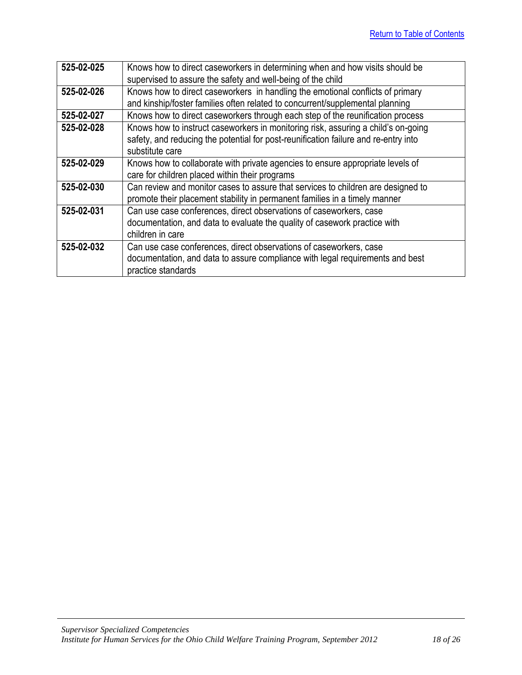| 525-02-025 | Knows how to direct caseworkers in determining when and how visits should be<br>supervised to assure the safety and well-being of the child |
|------------|---------------------------------------------------------------------------------------------------------------------------------------------|
|            |                                                                                                                                             |
| 525-02-026 | Knows how to direct caseworkers in handling the emotional conflicts of primary                                                              |
|            | and kinship/foster families often related to concurrent/supplemental planning                                                               |
| 525-02-027 | Knows how to direct caseworkers through each step of the reunification process                                                              |
| 525-02-028 | Knows how to instruct caseworkers in monitoring risk, assuring a child's on-going                                                           |
|            | safety, and reducing the potential for post-reunification failure and re-entry into                                                         |
|            | substitute care                                                                                                                             |
| 525-02-029 | Knows how to collaborate with private agencies to ensure appropriate levels of                                                              |
|            | care for children placed within their programs                                                                                              |
| 525-02-030 | Can review and monitor cases to assure that services to children are designed to                                                            |
|            | promote their placement stability in permanent families in a timely manner                                                                  |
| 525-02-031 | Can use case conferences, direct observations of caseworkers, case                                                                          |
|            | documentation, and data to evaluate the quality of casework practice with                                                                   |
|            | children in care                                                                                                                            |
| 525-02-032 | Can use case conferences, direct observations of caseworkers, case                                                                          |
|            | documentation, and data to assure compliance with legal requirements and best                                                               |
|            | practice standards                                                                                                                          |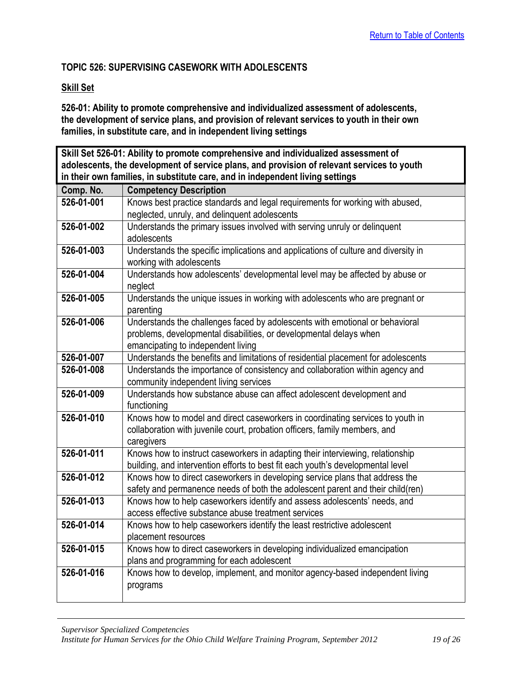## <span id="page-18-0"></span>**TOPIC 526: SUPERVISING CASEWORK WITH ADOLESCENTS**

#### **Skill Set**

**526-01: Ability to promote comprehensive and individualized assessment of adolescents, the development of service plans, and provision of relevant services to youth in their own families, in substitute care, and in independent living settings**

<span id="page-18-1"></span>**Skill Set 526-01: Ability to promote comprehensive and individualized assessment of adolescents, the development of service plans, and provision of relevant services to youth in their own families, in substitute care, and in independent living settings**

| Comp. No.  | <b>Competency Description</b>                                                      |
|------------|------------------------------------------------------------------------------------|
| 526-01-001 | Knows best practice standards and legal requirements for working with abused,      |
|            | neglected, unruly, and delinquent adolescents                                      |
| 526-01-002 | Understands the primary issues involved with serving unruly or delinquent          |
|            | adolescents                                                                        |
| 526-01-003 | Understands the specific implications and applications of culture and diversity in |
|            | working with adolescents                                                           |
| 526-01-004 | Understands how adolescents' developmental level may be affected by abuse or       |
|            | neglect                                                                            |
| 526-01-005 | Understands the unique issues in working with adolescents who are pregnant or      |
|            | parenting                                                                          |
| 526-01-006 | Understands the challenges faced by adolescents with emotional or behavioral       |
|            | problems, developmental disabilities, or developmental delays when                 |
|            | emancipating to independent living                                                 |
| 526-01-007 | Understands the benefits and limitations of residential placement for adolescents  |
| 526-01-008 | Understands the importance of consistency and collaboration within agency and      |
|            | community independent living services                                              |
| 526-01-009 | Understands how substance abuse can affect adolescent development and              |
|            | functioning                                                                        |
| 526-01-010 | Knows how to model and direct caseworkers in coordinating services to youth in     |
|            | collaboration with juvenile court, probation officers, family members, and         |
|            | caregivers                                                                         |
| 526-01-011 | Knows how to instruct caseworkers in adapting their interviewing, relationship     |
|            | building, and intervention efforts to best fit each youth's developmental level    |
| 526-01-012 | Knows how to direct caseworkers in developing service plans that address the       |
|            | safety and permanence needs of both the adolescent parent and their child(ren)     |
| 526-01-013 | Knows how to help caseworkers identify and assess adolescents' needs, and          |
|            | access effective substance abuse treatment services                                |
| 526-01-014 | Knows how to help caseworkers identify the least restrictive adolescent            |
|            | placement resources                                                                |
| 526-01-015 | Knows how to direct caseworkers in developing individualized emancipation          |
|            | plans and programming for each adolescent                                          |
| 526-01-016 | Knows how to develop, implement, and monitor agency-based independent living       |
|            | programs                                                                           |
|            |                                                                                    |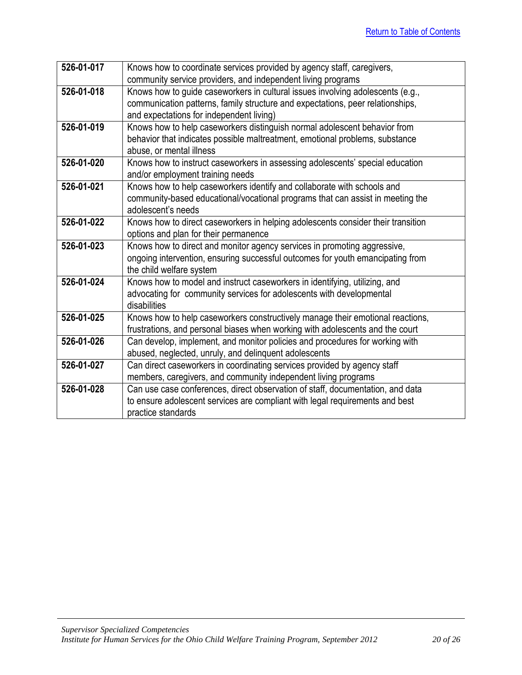| 526-01-017 | Knows how to coordinate services provided by agency staff, caregivers,           |
|------------|----------------------------------------------------------------------------------|
|            | community service providers, and independent living programs                     |
| 526-01-018 | Knows how to guide caseworkers in cultural issues involving adolescents (e.g.,   |
|            | communication patterns, family structure and expectations, peer relationships,   |
|            | and expectations for independent living)                                         |
| 526-01-019 | Knows how to help caseworkers distinguish normal adolescent behavior from        |
|            | behavior that indicates possible maltreatment, emotional problems, substance     |
|            | abuse, or mental illness                                                         |
| 526-01-020 | Knows how to instruct caseworkers in assessing adolescents' special education    |
|            | and/or employment training needs                                                 |
| 526-01-021 | Knows how to help caseworkers identify and collaborate with schools and          |
|            | community-based educational/vocational programs that can assist in meeting the   |
|            | adolescent's needs                                                               |
| 526-01-022 | Knows how to direct caseworkers in helping adolescents consider their transition |
|            | options and plan for their permanence                                            |
| 526-01-023 | Knows how to direct and monitor agency services in promoting aggressive,         |
|            | ongoing intervention, ensuring successful outcomes for youth emancipating from   |
|            | the child welfare system                                                         |
| 526-01-024 | Knows how to model and instruct caseworkers in identifying, utilizing, and       |
|            | advocating for community services for adolescents with developmental             |
|            | disabilities                                                                     |
| 526-01-025 | Knows how to help caseworkers constructively manage their emotional reactions,   |
|            | frustrations, and personal biases when working with adolescents and the court    |
| 526-01-026 | Can develop, implement, and monitor policies and procedures for working with     |
|            | abused, neglected, unruly, and delinquent adolescents                            |
| 526-01-027 | Can direct caseworkers in coordinating services provided by agency staff         |
|            | members, caregivers, and community independent living programs                   |
| 526-01-028 | Can use case conferences, direct observation of staff, documentation, and data   |
|            | to ensure adolescent services are compliant with legal requirements and best     |
|            | practice standards                                                               |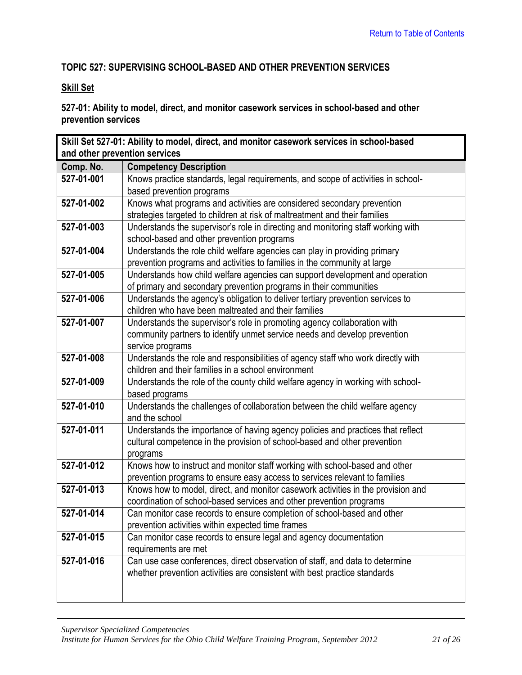## <span id="page-20-0"></span>**TOPIC 527: SUPERVISING SCHOOL-BASED AND OTHER PREVENTION SERVICES**

## **Skill Set**

## **527-01: Ability to model, direct, and monitor casework services in school-based and other prevention services**

<span id="page-20-1"></span>

| Skill Set 527-01: Ability to model, direct, and monitor casework services in school-based |                                                                                  |  |
|-------------------------------------------------------------------------------------------|----------------------------------------------------------------------------------|--|
| and other prevention services                                                             |                                                                                  |  |
| Comp. No.                                                                                 | <b>Competency Description</b>                                                    |  |
| 527-01-001                                                                                | Knows practice standards, legal requirements, and scope of activities in school- |  |
|                                                                                           | based prevention programs                                                        |  |
| 527-01-002                                                                                | Knows what programs and activities are considered secondary prevention           |  |
|                                                                                           | strategies targeted to children at risk of maltreatment and their families       |  |
| 527-01-003                                                                                | Understands the supervisor's role in directing and monitoring staff working with |  |
|                                                                                           | school-based and other prevention programs                                       |  |
| 527-01-004                                                                                | Understands the role child welfare agencies can play in providing primary        |  |
|                                                                                           | prevention programs and activities to families in the community at large         |  |
| 527-01-005                                                                                | Understands how child welfare agencies can support development and operation     |  |
|                                                                                           | of primary and secondary prevention programs in their communities                |  |
| 527-01-006                                                                                | Understands the agency's obligation to deliver tertiary prevention services to   |  |
|                                                                                           | children who have been maltreated and their families                             |  |
| 527-01-007                                                                                | Understands the supervisor's role in promoting agency collaboration with         |  |
|                                                                                           | community partners to identify unmet service needs and develop prevention        |  |
|                                                                                           | service programs                                                                 |  |
| 527-01-008                                                                                | Understands the role and responsibilities of agency staff who work directly with |  |
|                                                                                           | children and their families in a school environment                              |  |
| 527-01-009                                                                                | Understands the role of the county child welfare agency in working with school-  |  |
|                                                                                           | based programs                                                                   |  |
| 527-01-010                                                                                | Understands the challenges of collaboration between the child welfare agency     |  |
|                                                                                           | and the school                                                                   |  |
| $527 - 01 - 011$                                                                          | Understands the importance of having agency policies and practices that reflect  |  |
|                                                                                           | cultural competence in the provision of school-based and other prevention        |  |
|                                                                                           | programs                                                                         |  |
| 527-01-012                                                                                | Knows how to instruct and monitor staff working with school-based and other      |  |
|                                                                                           | prevention programs to ensure easy access to services relevant to families       |  |
| 527-01-013                                                                                | Knows how to model, direct, and monitor casework activities in the provision and |  |
|                                                                                           | coordination of school-based services and other prevention programs              |  |
| 527-01-014                                                                                | Can monitor case records to ensure completion of school-based and other          |  |
|                                                                                           | prevention activities within expected time frames                                |  |
| 527-01-015                                                                                | Can monitor case records to ensure legal and agency documentation                |  |
|                                                                                           | requirements are met                                                             |  |
| 527-01-016                                                                                | Can use case conferences, direct observation of staff, and data to determine     |  |
|                                                                                           | whether prevention activities are consistent with best practice standards        |  |
|                                                                                           |                                                                                  |  |
|                                                                                           |                                                                                  |  |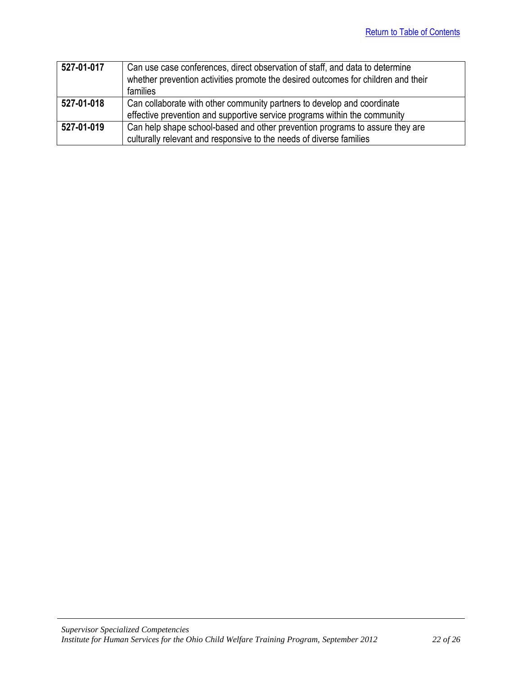| 527-01-017 | Can use case conferences, direct observation of staff, and data to determine      |
|------------|-----------------------------------------------------------------------------------|
|            | whether prevention activities promote the desired outcomes for children and their |
|            | families                                                                          |
| 527-01-018 | Can collaborate with other community partners to develop and coordinate           |
|            | effective prevention and supportive service programs within the community         |
| 527-01-019 | Can help shape school-based and other prevention programs to assure they are      |
|            | culturally relevant and responsive to the needs of diverse families               |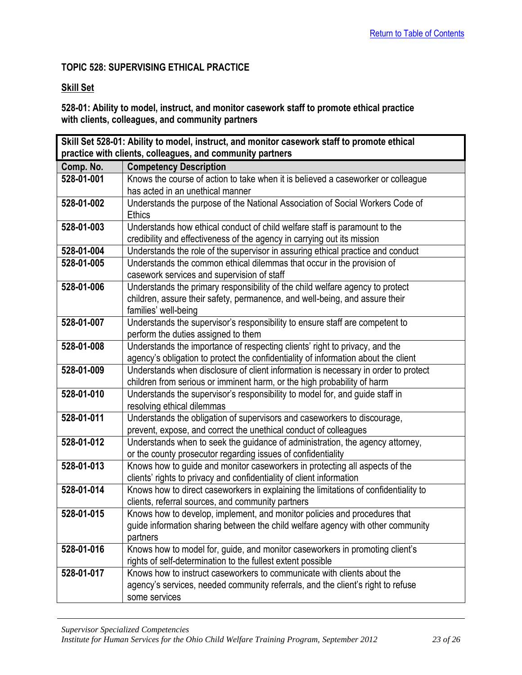## <span id="page-22-0"></span>**TOPIC 528: SUPERVISING ETHICAL PRACTICE**

## **Skill Set**

## **528-01: Ability to model, instruct, and monitor casework staff to promote ethical practice with clients, colleagues, and community partners**

<span id="page-22-1"></span>

| Skill Set 528-01: Ability to model, instruct, and monitor casework staff to promote ethical |                                                                                     |  |
|---------------------------------------------------------------------------------------------|-------------------------------------------------------------------------------------|--|
| practice with clients, colleagues, and community partners                                   |                                                                                     |  |
| Comp. No.                                                                                   | <b>Competency Description</b>                                                       |  |
| 528-01-001                                                                                  | Knows the course of action to take when it is believed a caseworker or colleague    |  |
|                                                                                             | has acted in an unethical manner                                                    |  |
| 528-01-002                                                                                  | Understands the purpose of the National Association of Social Workers Code of       |  |
|                                                                                             | <b>Ethics</b>                                                                       |  |
| 528-01-003                                                                                  | Understands how ethical conduct of child welfare staff is paramount to the          |  |
|                                                                                             | credibility and effectiveness of the agency in carrying out its mission             |  |
| 528-01-004                                                                                  | Understands the role of the supervisor in assuring ethical practice and conduct     |  |
| 528-01-005                                                                                  | Understands the common ethical dilemmas that occur in the provision of              |  |
|                                                                                             | casework services and supervision of staff                                          |  |
| 528-01-006                                                                                  | Understands the primary responsibility of the child welfare agency to protect       |  |
|                                                                                             | children, assure their safety, permanence, and well-being, and assure their         |  |
|                                                                                             | families' well-being                                                                |  |
| 528-01-007                                                                                  | Understands the supervisor's responsibility to ensure staff are competent to        |  |
|                                                                                             | perform the duties assigned to them                                                 |  |
| 528-01-008                                                                                  | Understands the importance of respecting clients' right to privacy, and the         |  |
|                                                                                             | agency's obligation to protect the confidentiality of information about the client  |  |
| 528-01-009                                                                                  | Understands when disclosure of client information is necessary in order to protect  |  |
|                                                                                             | children from serious or imminent harm, or the high probability of harm             |  |
| 528-01-010                                                                                  | Understands the supervisor's responsibility to model for, and guide staff in        |  |
|                                                                                             | resolving ethical dilemmas                                                          |  |
| 528-01-011                                                                                  | Understands the obligation of supervisors and caseworkers to discourage,            |  |
|                                                                                             | prevent, expose, and correct the unethical conduct of colleagues                    |  |
| 528-01-012                                                                                  | Understands when to seek the guidance of administration, the agency attorney,       |  |
|                                                                                             | or the county prosecutor regarding issues of confidentiality                        |  |
| 528-01-013                                                                                  | Knows how to guide and monitor caseworkers in protecting all aspects of the         |  |
|                                                                                             | clients' rights to privacy and confidentiality of client information                |  |
| 528-01-014                                                                                  | Knows how to direct caseworkers in explaining the limitations of confidentiality to |  |
|                                                                                             | clients, referral sources, and community partners                                   |  |
| 528-01-015                                                                                  | Knows how to develop, implement, and monitor policies and procedures that           |  |
|                                                                                             | guide information sharing between the child welfare agency with other community     |  |
|                                                                                             | partners                                                                            |  |
| 528-01-016                                                                                  | Knows how to model for, guide, and monitor caseworkers in promoting client's        |  |
|                                                                                             | rights of self-determination to the fullest extent possible                         |  |
| 528-01-017                                                                                  | Knows how to instruct caseworkers to communicate with clients about the             |  |
|                                                                                             | agency's services, needed community referrals, and the client's right to refuse     |  |
|                                                                                             | some services                                                                       |  |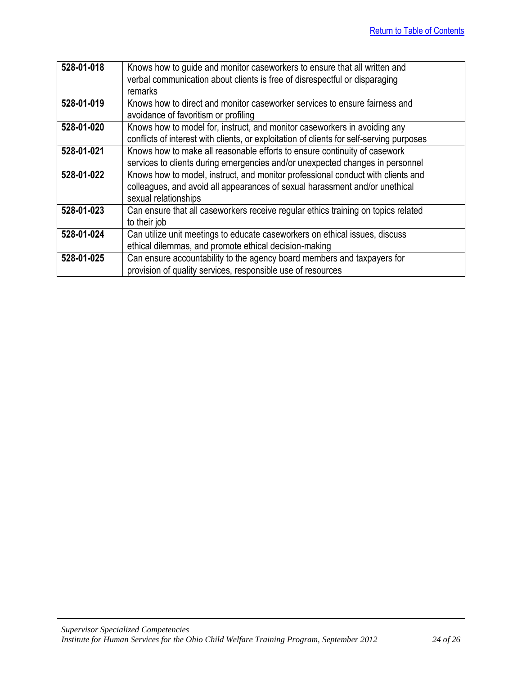| 528-01-018 | Knows how to guide and monitor caseworkers to ensure that all written and                |
|------------|------------------------------------------------------------------------------------------|
|            | verbal communication about clients is free of disrespectful or disparaging               |
|            | remarks                                                                                  |
| 528-01-019 | Knows how to direct and monitor caseworker services to ensure fairness and               |
|            | avoidance of favoritism or profiling                                                     |
| 528-01-020 | Knows how to model for, instruct, and monitor caseworkers in avoiding any                |
|            | conflicts of interest with clients, or exploitation of clients for self-serving purposes |
| 528-01-021 | Knows how to make all reasonable efforts to ensure continuity of casework                |
|            | services to clients during emergencies and/or unexpected changes in personnel            |
| 528-01-022 | Knows how to model, instruct, and monitor professional conduct with clients and          |
|            | colleagues, and avoid all appearances of sexual harassment and/or unethical              |
|            | sexual relationships                                                                     |
| 528-01-023 | Can ensure that all caseworkers receive regular ethics training on topics related        |
|            | to their job                                                                             |
| 528-01-024 | Can utilize unit meetings to educate caseworkers on ethical issues, discuss              |
|            | ethical dilemmas, and promote ethical decision-making                                    |
| 528-01-025 | Can ensure accountability to the agency board members and taxpayers for                  |
|            | provision of quality services, responsible use of resources                              |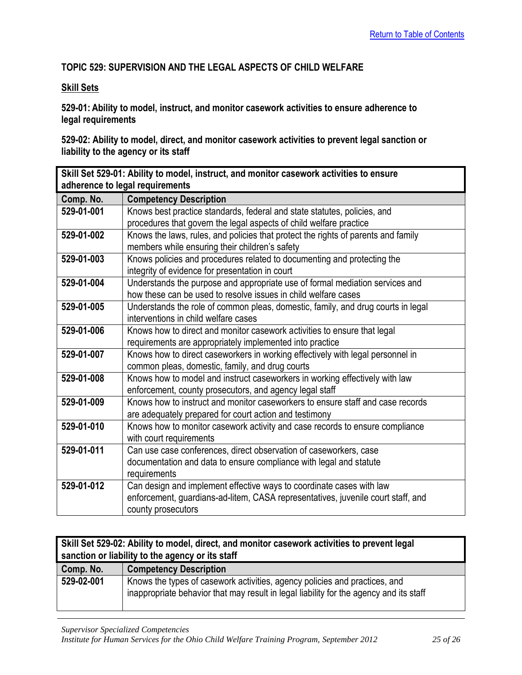## <span id="page-24-0"></span>**TOPIC 529: SUPERVISION AND THE LEGAL ASPECTS OF CHILD WELFARE**

#### **Skill Sets**

**529-01: Ability to model, instruct, and monitor casework activities to ensure adherence to legal requirements**

**529-02: Ability to model, direct, and monitor casework activities to prevent legal sanction or liability to the agency or its staff**

<span id="page-24-1"></span>

| Skill Set 529-01: Ability to model, instruct, and monitor casework activities to ensure |                                                                                   |
|-----------------------------------------------------------------------------------------|-----------------------------------------------------------------------------------|
| adherence to legal requirements                                                         |                                                                                   |
| Comp. No.                                                                               | <b>Competency Description</b>                                                     |
| 529-01-001                                                                              | Knows best practice standards, federal and state statutes, policies, and          |
|                                                                                         | procedures that govern the legal aspects of child welfare practice                |
| 529-01-002                                                                              | Knows the laws, rules, and policies that protect the rights of parents and family |
|                                                                                         | members while ensuring their children's safety                                    |
| 529-01-003                                                                              | Knows policies and procedures related to documenting and protecting the           |
|                                                                                         | integrity of evidence for presentation in court                                   |
| 529-01-004                                                                              | Understands the purpose and appropriate use of formal mediation services and      |
|                                                                                         | how these can be used to resolve issues in child welfare cases                    |
| 529-01-005                                                                              | Understands the role of common pleas, domestic, family, and drug courts in legal  |
|                                                                                         | interventions in child welfare cases                                              |
| 529-01-006                                                                              | Knows how to direct and monitor casework activities to ensure that legal          |
|                                                                                         | requirements are appropriately implemented into practice                          |
| 529-01-007                                                                              | Knows how to direct caseworkers in working effectively with legal personnel in    |
|                                                                                         | common pleas, domestic, family, and drug courts                                   |
| 529-01-008                                                                              | Knows how to model and instruct caseworkers in working effectively with law       |
|                                                                                         | enforcement, county prosecutors, and agency legal staff                           |
| 529-01-009                                                                              | Knows how to instruct and monitor caseworkers to ensure staff and case records    |
|                                                                                         | are adequately prepared for court action and testimony                            |
| 529-01-010                                                                              | Knows how to monitor casework activity and case records to ensure compliance      |
|                                                                                         | with court requirements                                                           |
| 529-01-011                                                                              | Can use case conferences, direct observation of caseworkers, case                 |
|                                                                                         | documentation and data to ensure compliance with legal and statute                |
|                                                                                         | requirements                                                                      |
| 529-01-012                                                                              | Can design and implement effective ways to coordinate cases with law              |
|                                                                                         | enforcement, guardians-ad-litem, CASA representatives, juvenile court staff, and  |
|                                                                                         | county prosecutors                                                                |

<span id="page-24-2"></span>

| Skill Set 529-02: Ability to model, direct, and monitor casework activities to prevent legal<br>sanction or liability to the agency or its staff |                                                                                                                                                                      |
|--------------------------------------------------------------------------------------------------------------------------------------------------|----------------------------------------------------------------------------------------------------------------------------------------------------------------------|
| Comp. No.                                                                                                                                        | <b>Competency Description</b>                                                                                                                                        |
| 529-02-001                                                                                                                                       | Knows the types of casework activities, agency policies and practices, and<br>inappropriate behavior that may result in legal liability for the agency and its staff |